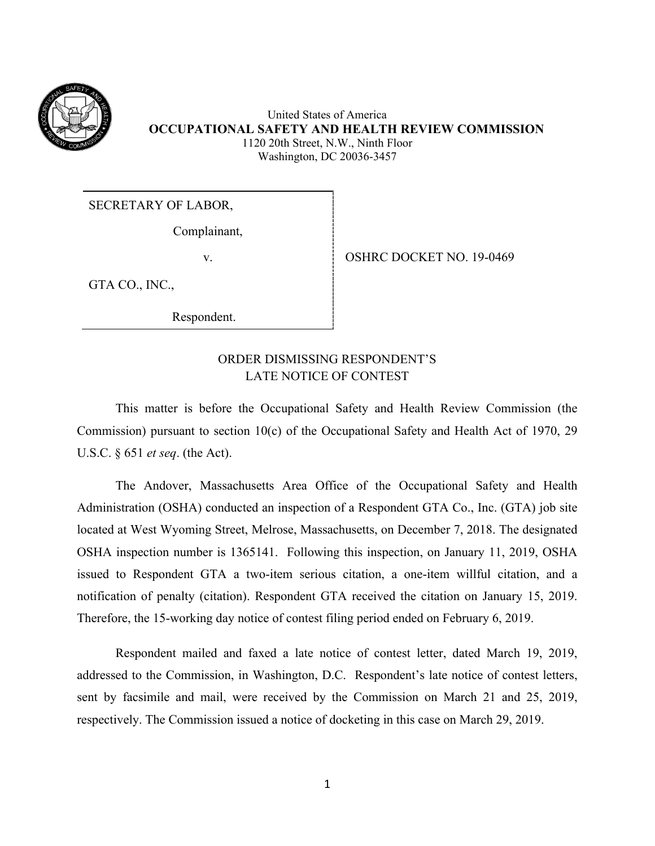

United States of America **OCCUPATIONAL SAFETY AND HEALTH REVIEW COMMISSION** 1120 20th Street, N.W., Ninth Floor Washington, DC 20036-3457

### SECRETARY OF LABOR,

Complainant,

v. Some September 1 OSHRC DOCKET NO. 19-0469

GTA CO., INC.,

Respondent.

# ORDER DISMISSING RESPONDENT'S LATE NOTICE OF CONTEST

This matter is before the Occupational Safety and Health Review Commission (the Commission) pursuant to section 10(c) of the Occupational Safety and Health Act of 1970, 29 U.S.C. § 651 *et seq*. (the Act).

The Andover, Massachusetts Area Office of the Occupational Safety and Health Administration (OSHA) conducted an inspection of a Respondent GTA Co., Inc. (GTA) job site located at West Wyoming Street, Melrose, Massachusetts, on December 7, 2018. The designated OSHA inspection number is 1365141. Following this inspection, on January 11, 2019, OSHA issued to Respondent GTA a two-item serious citation, a one-item willful citation, and a notification of penalty (citation). Respondent GTA received the citation on January 15, 2019. Therefore, the 15-working day notice of contest filing period ended on February 6, 2019.

Respondent mailed and faxed a late notice of contest letter, dated March 19, 2019, addressed to the Commission, in Washington, D.C. Respondent's late notice of contest letters, sent by facsimile and mail, were received by the Commission on March 21 and 25, 2019, respectively. The Commission issued a notice of docketing in this case on March 29, 2019.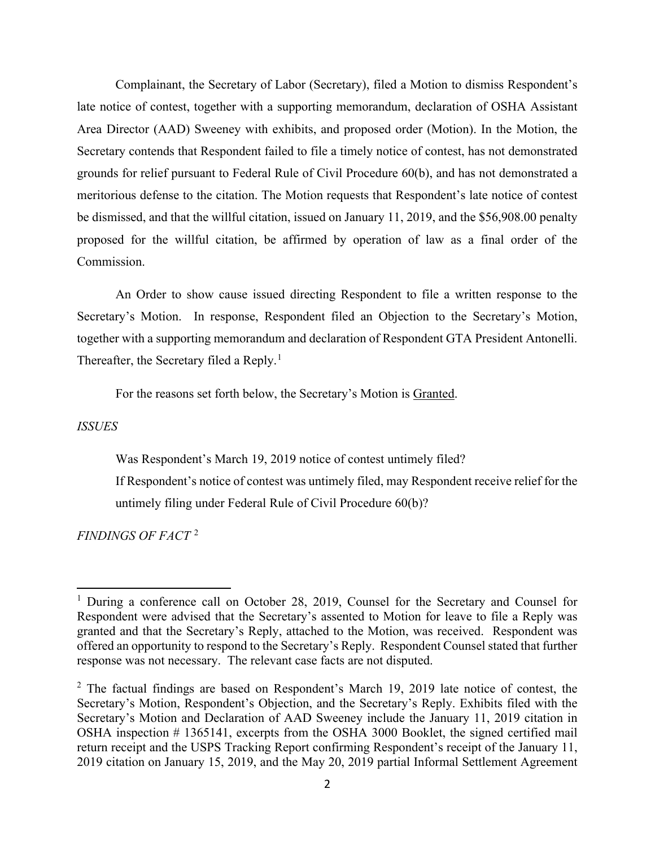Complainant, the Secretary of Labor (Secretary), filed a Motion to dismiss Respondent's late notice of contest, together with a supporting memorandum, declaration of OSHA Assistant Area Director (AAD) Sweeney with exhibits, and proposed order (Motion). In the Motion, the Secretary contends that Respondent failed to file a timely notice of contest, has not demonstrated grounds for relief pursuant to Federal Rule of Civil Procedure 60(b), and has not demonstrated a meritorious defense to the citation. The Motion requests that Respondent's late notice of contest be dismissed, and that the willful citation, issued on January 11, 2019, and the \$56,908.00 penalty proposed for the willful citation, be affirmed by operation of law as a final order of the Commission.

An Order to show cause issued directing Respondent to file a written response to the Secretary's Motion. In response, Respondent filed an Objection to the Secretary's Motion, together with a supporting memorandum and declaration of Respondent GTA President Antonelli. Thereafter, the Secretary filed a Reply.<sup>[1](#page-1-0)</sup>

For the reasons set forth below, the Secretary's Motion is Granted.

#### *ISSUES*

Was Respondent's March 19, 2019 notice of contest untimely filed?

If Respondent's notice of contest was untimely filed, may Respondent receive relief for the untimely filing under Federal Rule of Civil Procedure 60(b)?

*FINDINGS OF FACT* [2](#page-1-1)

<span id="page-1-0"></span><sup>&</sup>lt;sup>1</sup> During a conference call on October 28, 2019, Counsel for the Secretary and Counsel for Respondent were advised that the Secretary's assented to Motion for leave to file a Reply was granted and that the Secretary's Reply, attached to the Motion, was received. Respondent was offered an opportunity to respond to the Secretary's Reply. Respondent Counsel stated that further response was not necessary. The relevant case facts are not disputed.

<span id="page-1-1"></span> $2$  The factual findings are based on Respondent's March 19, 2019 late notice of contest, the Secretary's Motion, Respondent's Objection, and the Secretary's Reply. Exhibits filed with the Secretary's Motion and Declaration of AAD Sweeney include the January 11, 2019 citation in OSHA inspection # 1365141, excerpts from the OSHA 3000 Booklet, the signed certified mail return receipt and the USPS Tracking Report confirming Respondent's receipt of the January 11, 2019 citation on January 15, 2019, and the May 20, 2019 partial Informal Settlement Agreement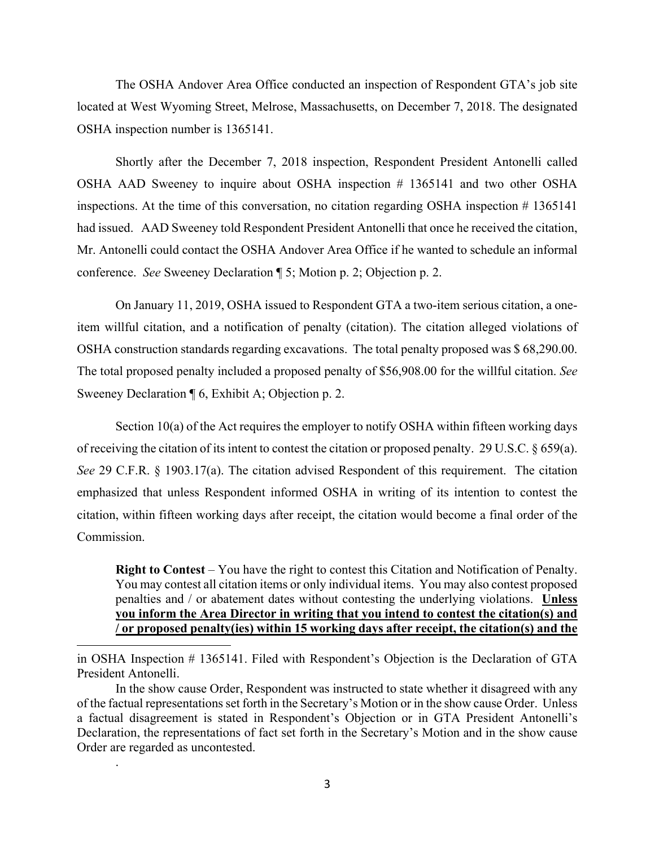The OSHA Andover Area Office conducted an inspection of Respondent GTA's job site located at West Wyoming Street, Melrose, Massachusetts, on December 7, 2018. The designated OSHA inspection number is 1365141.

Shortly after the December 7, 2018 inspection, Respondent President Antonelli called OSHA AAD Sweeney to inquire about OSHA inspection # 1365141 and two other OSHA inspections. At the time of this conversation, no citation regarding OSHA inspection # 1365141 had issued. AAD Sweeney told Respondent President Antonelli that once he received the citation, Mr. Antonelli could contact the OSHA Andover Area Office if he wanted to schedule an informal conference. *See* Sweeney Declaration ¶ 5; Motion p. 2; Objection p. 2.

On January 11, 2019, OSHA issued to Respondent GTA a two-item serious citation, a oneitem willful citation, and a notification of penalty (citation). The citation alleged violations of OSHA construction standards regarding excavations. The total penalty proposed was \$ 68,290.00. The total proposed penalty included a proposed penalty of \$56,908.00 for the willful citation. *See*  Sweeney Declaration ¶ 6, Exhibit A; Objection p. 2.

Section 10(a) of the Act requires the employer to notify OSHA within fifteen working days of receiving the citation of its intent to contest the citation or proposed penalty. 29 U.S.C. § 659(a). *See* 29 C.F.R. § 1903.17(a). The citation advised Respondent of this requirement. The citation emphasized that unless Respondent informed OSHA in writing of its intention to contest the citation, within fifteen working days after receipt, the citation would become a final order of the Commission.

**Right to Contest** – You have the right to contest this Citation and Notification of Penalty. You may contest all citation items or only individual items. You may also contest proposed penalties and / or abatement dates without contesting the underlying violations. **Unless you inform the Area Director in writing that you intend to contest the citation(s) and / or proposed penalty(ies) within 15 working days after receipt, the citation(s) and the** 

in OSHA Inspection # 1365141. Filed with Respondent's Objection is the Declaration of GTA President Antonelli.

In the show cause Order, Respondent was instructed to state whether it disagreed with any of the factual representations set forth in the Secretary's Motion or in the show cause Order. Unless a factual disagreement is stated in Respondent's Objection or in GTA President Antonelli's Declaration, the representations of fact set forth in the Secretary's Motion and in the show cause Order are regarded as uncontested.

.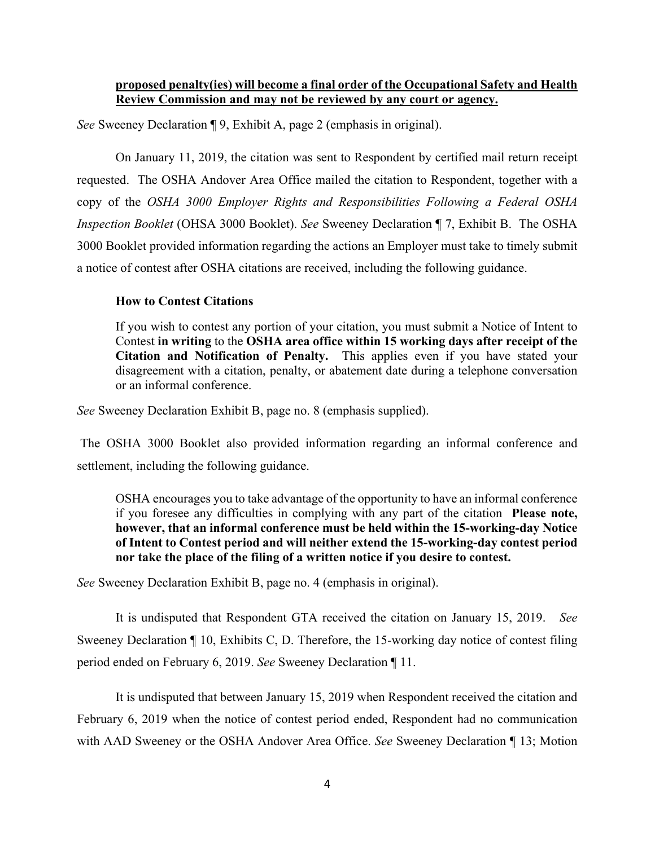# **proposed penalty(ies) will become a final order of the Occupational Safety and Health Review Commission and may not be reviewed by any court or agency.**

*See* Sweeney Declaration ¶ 9, Exhibit A, page 2 (emphasis in original).

On January 11, 2019, the citation was sent to Respondent by certified mail return receipt requested. The OSHA Andover Area Office mailed the citation to Respondent, together with a copy of the *OSHA 3000 Employer Rights and Responsibilities Following a Federal OSHA Inspection Booklet* (OHSA 3000 Booklet). *See* Sweeney Declaration ¶ 7, Exhibit B. The OSHA 3000 Booklet provided information regarding the actions an Employer must take to timely submit a notice of contest after OSHA citations are received, including the following guidance.

### **How to Contest Citations**

If you wish to contest any portion of your citation, you must submit a Notice of Intent to Contest **in writing** to the **OSHA area office within 15 working days after receipt of the Citation and Notification of Penalty.** This applies even if you have stated your disagreement with a citation, penalty, or abatement date during a telephone conversation or an informal conference.

*See* Sweeney Declaration Exhibit B, page no. 8 (emphasis supplied).

The OSHA 3000 Booklet also provided information regarding an informal conference and settlement, including the following guidance.

OSHA encourages you to take advantage of the opportunity to have an informal conference if you foresee any difficulties in complying with any part of the citation **Please note, however, that an informal conference must be held within the 15-working-day Notice of Intent to Contest period and will neither extend the 15-working-day contest period nor take the place of the filing of a written notice if you desire to contest.** 

*See* Sweeney Declaration Exhibit B, page no. 4 (emphasis in original).

It is undisputed that Respondent GTA received the citation on January 15, 2019. *See* Sweeney Declaration ¶ 10, Exhibits C, D. Therefore, the 15-working day notice of contest filing period ended on February 6, 2019. *See* Sweeney Declaration ¶ 11.

It is undisputed that between January 15, 2019 when Respondent received the citation and February 6, 2019 when the notice of contest period ended, Respondent had no communication with AAD Sweeney or the OSHA Andover Area Office. *See* Sweeney Declaration ¶ 13; Motion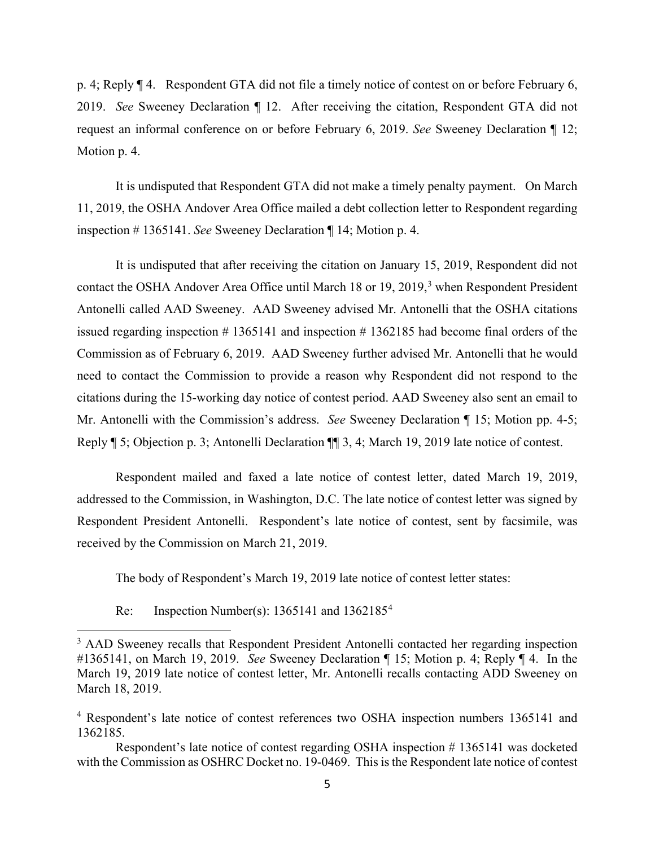p. 4; Reply ¶ 4. Respondent GTA did not file a timely notice of contest on or before February 6, 2019. *See* Sweeney Declaration ¶ 12. After receiving the citation, Respondent GTA did not request an informal conference on or before February 6, 2019. *See* Sweeney Declaration ¶ 12; Motion p. 4.

It is undisputed that Respondent GTA did not make a timely penalty payment. On March 11, 2019, the OSHA Andover Area Office mailed a debt collection letter to Respondent regarding inspection # 1365141. *See* Sweeney Declaration ¶ 14; Motion p. 4.

It is undisputed that after receiving the citation on January 15, 2019, Respondent did not contact the OSHA Andover Area Office until March 18 or 19, 2019,<sup>[3](#page-4-0)</sup> when Respondent President Antonelli called AAD Sweeney. AAD Sweeney advised Mr. Antonelli that the OSHA citations issued regarding inspection  $# 1365141$  and inspection  $# 1362185$  had become final orders of the Commission as of February 6, 2019. AAD Sweeney further advised Mr. Antonelli that he would need to contact the Commission to provide a reason why Respondent did not respond to the citations during the 15-working day notice of contest period. AAD Sweeney also sent an email to Mr. Antonelli with the Commission's address. *See* Sweeney Declaration ¶ 15; Motion pp. 4-5; Reply ¶ 5; Objection p. 3; Antonelli Declaration ¶¶ 3, 4; March 19, 2019 late notice of contest.

Respondent mailed and faxed a late notice of contest letter, dated March 19, 2019, addressed to the Commission, in Washington, D.C. The late notice of contest letter was signed by Respondent President Antonelli. Respondent's late notice of contest, sent by facsimile, was received by the Commission on March 21, 2019.

The body of Respondent's March 19, 2019 late notice of contest letter states:

Re: Inspection Number(s):  $1365141$  $1365141$  $1365141$  and  $1362185<sup>4</sup>$ 

<span id="page-4-0"></span><sup>&</sup>lt;sup>3</sup> AAD Sweeney recalls that Respondent President Antonelli contacted her regarding inspection #1365141, on March 19, 2019. *See* Sweeney Declaration ¶ 15; Motion p. 4; Reply ¶ 4. In the March 19, 2019 late notice of contest letter, Mr. Antonelli recalls contacting ADD Sweeney on March 18, 2019.

<span id="page-4-1"></span><sup>&</sup>lt;sup>4</sup> Respondent's late notice of contest references two OSHA inspection numbers 1365141 and 1362185.

Respondent's late notice of contest regarding OSHA inspection # 1365141 was docketed with the Commission as OSHRC Docket no. 19-0469. This is the Respondent late notice of contest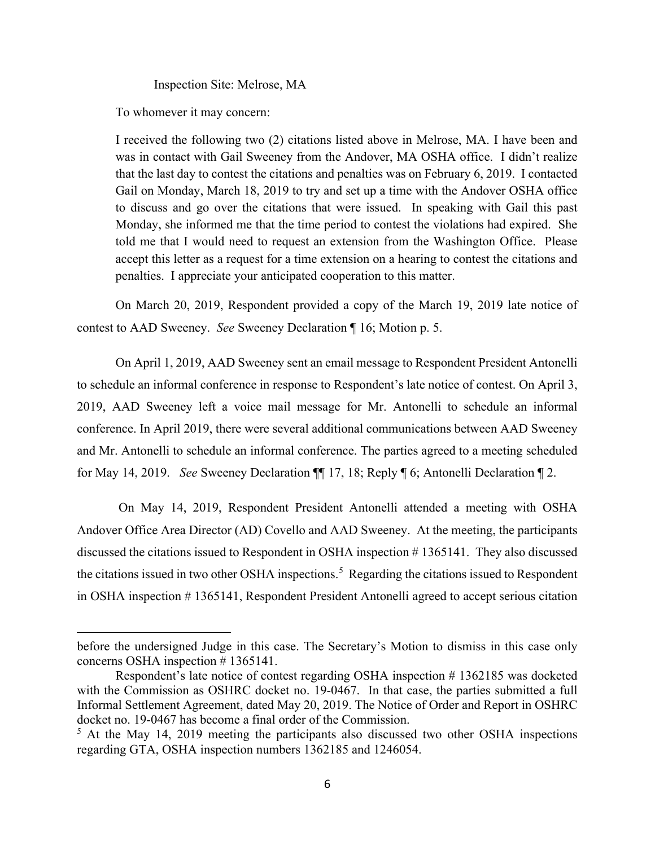Inspection Site: Melrose, MA

To whomever it may concern:

I received the following two (2) citations listed above in Melrose, MA. I have been and was in contact with Gail Sweeney from the Andover, MA OSHA office. I didn't realize that the last day to contest the citations and penalties was on February 6, 2019. I contacted Gail on Monday, March 18, 2019 to try and set up a time with the Andover OSHA office to discuss and go over the citations that were issued. In speaking with Gail this past Monday, she informed me that the time period to contest the violations had expired. She told me that I would need to request an extension from the Washington Office. Please accept this letter as a request for a time extension on a hearing to contest the citations and penalties. I appreciate your anticipated cooperation to this matter.

On March 20, 2019, Respondent provided a copy of the March 19, 2019 late notice of contest to AAD Sweeney. *See* Sweeney Declaration ¶ 16; Motion p. 5.

On April 1, 2019, AAD Sweeney sent an email message to Respondent President Antonelli to schedule an informal conference in response to Respondent's late notice of contest. On April 3, 2019, AAD Sweeney left a voice mail message for Mr. Antonelli to schedule an informal conference. In April 2019, there were several additional communications between AAD Sweeney and Mr. Antonelli to schedule an informal conference. The parties agreed to a meeting scheduled for May 14, 2019. *See* Sweeney Declaration ¶¶ 17, 18; Reply ¶ 6; Antonelli Declaration ¶ 2.

On May 14, 2019, Respondent President Antonelli attended a meeting with OSHA Andover Office Area Director (AD) Covello and AAD Sweeney. At the meeting, the participants discussed the citations issued to Respondent in OSHA inspection # 1365141. They also discussed the citations issued in two other OSHA inspections.<sup>[5](#page-5-0)</sup> Regarding the citations issued to Respondent in OSHA inspection # 1365141, Respondent President Antonelli agreed to accept serious citation

before the undersigned Judge in this case. The Secretary's Motion to dismiss in this case only concerns OSHA inspection # 1365141.

Respondent's late notice of contest regarding OSHA inspection #1362185 was docketed with the Commission as OSHRC docket no. 19-0467. In that case, the parties submitted a full Informal Settlement Agreement, dated May 20, 2019. The Notice of Order and Report in OSHRC docket no. 19-0467 has become a final order of the Commission.

<span id="page-5-0"></span><sup>&</sup>lt;sup>5</sup> At the May 14, 2019 meeting the participants also discussed two other OSHA inspections regarding GTA, OSHA inspection numbers 1362185 and 1246054.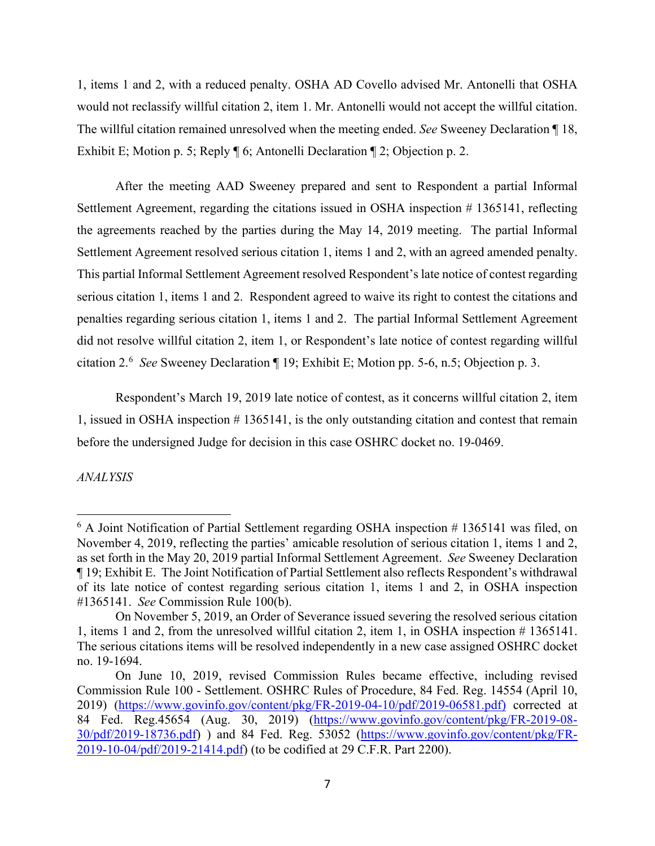1, items 1 and 2, with a reduced penalty. OSHA AD Covello advised Mr. Antonelli that OSHA would not reclassify willful citation 2, item 1. Mr. Antonelli would not accept the willful citation. The willful citation remained unresolved when the meeting ended. *See* Sweeney Declaration ¶ 18, Exhibit E; Motion p. 5; Reply ¶ 6; Antonelli Declaration ¶ 2; Objection p. 2.

After the meeting AAD Sweeney prepared and sent to Respondent a partial Informal Settlement Agreement, regarding the citations issued in OSHA inspection # 1365141, reflecting the agreements reached by the parties during the May 14, 2019 meeting. The partial Informal Settlement Agreement resolved serious citation 1, items 1 and 2, with an agreed amended penalty. This partial Informal Settlement Agreement resolved Respondent's late notice of contest regarding serious citation 1, items 1 and 2. Respondent agreed to waive its right to contest the citations and penalties regarding serious citation 1, items 1 and 2. The partial Informal Settlement Agreement did not resolve willful citation 2, item 1, or Respondent's late notice of contest regarding willful citation 2.[6](#page-6-0) *See* Sweeney Declaration ¶ 19; Exhibit E; Motion pp. 5-6, n.5; Objection p. 3.

Respondent's March 19, 2019 late notice of contest, as it concerns willful citation 2, item 1, issued in OSHA inspection # 1365141, is the only outstanding citation and contest that remain before the undersigned Judge for decision in this case OSHRC docket no. 19-0469.

*ANALYSIS*

<span id="page-6-0"></span> $6$  A Joint Notification of Partial Settlement regarding OSHA inspection  $# 1365141$  was filed, on November 4, 2019, reflecting the parties' amicable resolution of serious citation 1, items 1 and 2, as set forth in the May 20, 2019 partial Informal Settlement Agreement. *See* Sweeney Declaration ¶ 19; Exhibit E. The Joint Notification of Partial Settlement also reflects Respondent's withdrawal of its late notice of contest regarding serious citation 1, items 1 and 2, in OSHA inspection #1365141. *See* Commission Rule 100(b).

On November 5, 2019, an Order of Severance issued severing the resolved serious citation 1, items 1 and 2, from the unresolved willful citation 2, item 1, in OSHA inspection # 1365141. The serious citations items will be resolved independently in a new case assigned OSHRC docket no. 19-1694.

On June 10, 2019, revised Commission Rules became effective, including revised Commission Rule 100 - Settlement. OSHRC Rules of Procedure, 84 Fed. Reg. 14554 (April 10, 2019) [\(https://www.govinfo.gov/content/pkg/FR-2019-04-10/pdf/2019-06581.pdf\)](https://www.govinfo.gov/content/pkg/FR-2019-04-10/pdf/2019-06581.pdf) corrected at 84 Fed. Reg.45654 (Aug. 30, 2019) [\(https://www.govinfo.gov/content/pkg/FR-2019-08-](https://www.govinfo.gov/content/pkg/FR-2019-08-30/pdf/2019-18736.pdf) [30/pdf/2019-18736.pdf\)](https://www.govinfo.gov/content/pkg/FR-2019-08-30/pdf/2019-18736.pdf) ) and 84 Fed. Reg. 53052 [\(https://www.govinfo.gov/content/pkg/FR-](https://www.govinfo.gov/content/pkg/FR-2019-10-04/pdf/2019-21414.pdf)[2019-10-04/pdf/2019-21414.pdf\)](https://www.govinfo.gov/content/pkg/FR-2019-10-04/pdf/2019-21414.pdf) (to be codified at 29 C.F.R. Part 2200).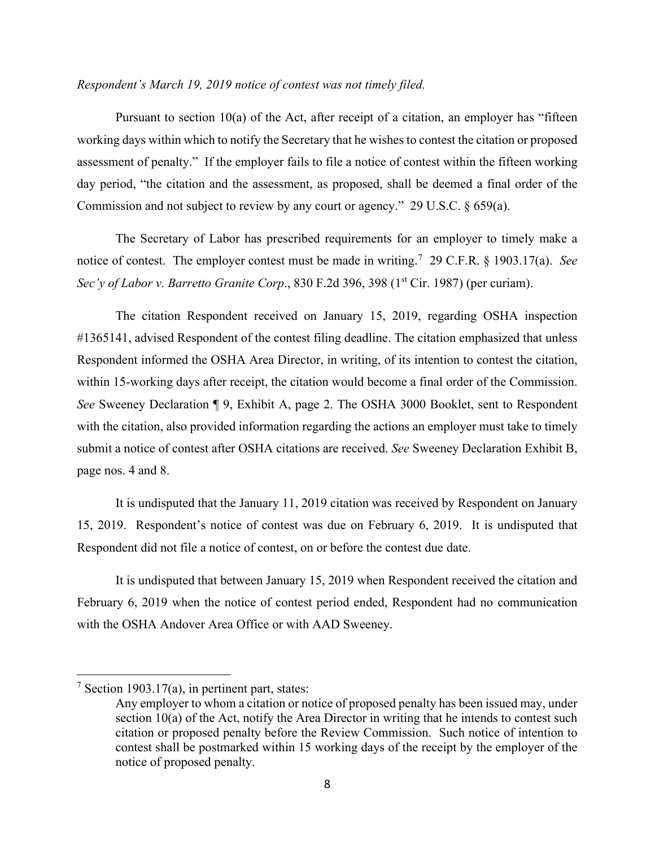#### *Respondent's March 19, 2019 notice of contest was not timely filed.*

Pursuant to section 10(a) of the Act, after receipt of a citation, an employer has "fifteen working days within which to notify the Secretary that he wishes to contest the citation or proposed assessment of penalty." If the employer fails to file a notice of contest within the fifteen working day period, "the citation and the assessment, as proposed, shall be deemed a final order of the Commission and not subject to review by any court or agency." 29 U.S.C. § 659(a).

The Secretary of Labor has prescribed requirements for an employer to timely make a notice of contest. The employer contest must be made in writing.[7](#page-7-0) 29 C.F.R. § 1903.17(a). *See Sec'y of Labor v. Barretto Granite Corp.*, 830 F.2d 396, 398 (1<sup>st</sup> Cir. 1987) (per curiam).

The citation Respondent received on January 15, 2019, regarding OSHA inspection #1365141, advised Respondent of the contest filing deadline. The citation emphasized that unless Respondent informed the OSHA Area Director, in writing, of its intention to contest the citation, within 15-working days after receipt, the citation would become a final order of the Commission. *See* Sweeney Declaration ¶ 9, Exhibit A, page 2. The OSHA 3000 Booklet, sent to Respondent with the citation, also provided information regarding the actions an employer must take to timely submit a notice of contest after OSHA citations are received. *See* Sweeney Declaration Exhibit B, page nos. 4 and 8.

It is undisputed that the January 11, 2019 citation was received by Respondent on January 15, 2019. Respondent's notice of contest was due on February 6, 2019. It is undisputed that Respondent did not file a notice of contest, on or before the contest due date.

It is undisputed that between January 15, 2019 when Respondent received the citation and February 6, 2019 when the notice of contest period ended, Respondent had no communication with the OSHA Andover Area Office or with AAD Sweeney.

<span id="page-7-0"></span> $7$  Section 1903.17(a), in pertinent part, states:

Any employer to whom a citation or notice of proposed penalty has been issued may, under section 10(a) of the Act, notify the Area Director in writing that he intends to contest such citation or proposed penalty before the Review Commission. Such notice of intention to contest shall be postmarked within 15 working days of the receipt by the employer of the notice of proposed penalty.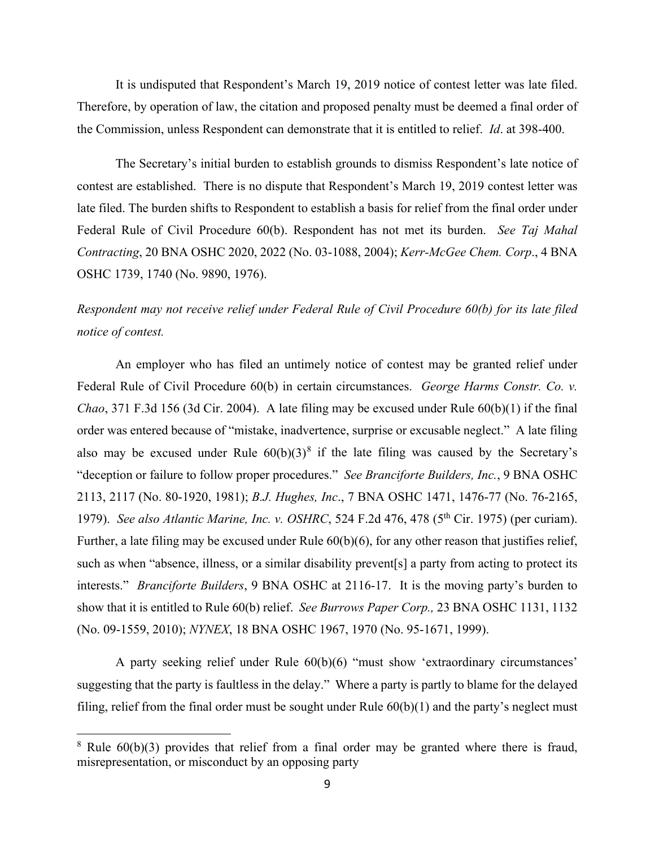It is undisputed that Respondent's March 19, 2019 notice of contest letter was late filed. Therefore, by operation of law, the citation and proposed penalty must be deemed a final order of the Commission, unless Respondent can demonstrate that it is entitled to relief. *Id*. at 398-400.

The Secretary's initial burden to establish grounds to dismiss Respondent's late notice of contest are established. There is no dispute that Respondent's March 19, 2019 contest letter was late filed. The burden shifts to Respondent to establish a basis for relief from the final order under Federal Rule of Civil Procedure 60(b). Respondent has not met its burden. *See Taj Mahal Contracting*, 20 BNA OSHC 2020, 2022 (No. 03-1088, 2004); *Kerr-McGee Chem. Corp*., 4 BNA OSHC 1739, 1740 (No. 9890, 1976).

# *Respondent may not receive relief under Federal Rule of Civil Procedure 60(b) for its late filed notice of contest.*

An employer who has filed an untimely notice of contest may be granted relief under Federal Rule of Civil Procedure 60(b) in certain circumstances. *George Harms Constr. Co. v. Chao*, 371 F.3d 156 (3d Cir. 2004). A late filing may be excused under Rule 60(b)(1) if the final order was entered because of "mistake, inadvertence, surprise or excusable neglect." A late filing also may be excused under Rule  $60(b)(3)^8$  $60(b)(3)^8$  if the late filing was caused by the Secretary's "deception or failure to follow proper procedures." *See Branciforte Builders, Inc.*, 9 BNA OSHC 2113, 2117 (No. 80-1920, 1981); *B.J. Hughes, Inc*., 7 BNA OSHC 1471, 1476-77 (No. 76-2165, 1979). *See also Atlantic Marine, Inc. v. OSHRC*, 524 F.2d 476, 478 (5<sup>th</sup> Cir. 1975) (per curiam). Further, a late filing may be excused under Rule 60(b)(6), for any other reason that justifies relief, such as when "absence, illness, or a similar disability prevent[s] a party from acting to protect its interests." *Branciforte Builders*, 9 BNA OSHC at 2116-17. It is the moving party's burden to show that it is entitled to Rule 60(b) relief. *See Burrows Paper Corp.,* 23 BNA OSHC 1131, 1132 (No. 09-1559, 2010); *NYNEX*, 18 BNA OSHC 1967, 1970 (No. 95-1671, 1999).

A party seeking relief under Rule 60(b)(6) "must show 'extraordinary circumstances' suggesting that the party is faultless in the delay." Where a party is partly to blame for the delayed filing, relief from the final order must be sought under Rule  $60(b)(1)$  and the party's neglect must

<span id="page-8-0"></span> $8$  Rule  $60(b)(3)$  provides that relief from a final order may be granted where there is fraud, misrepresentation, or misconduct by an opposing party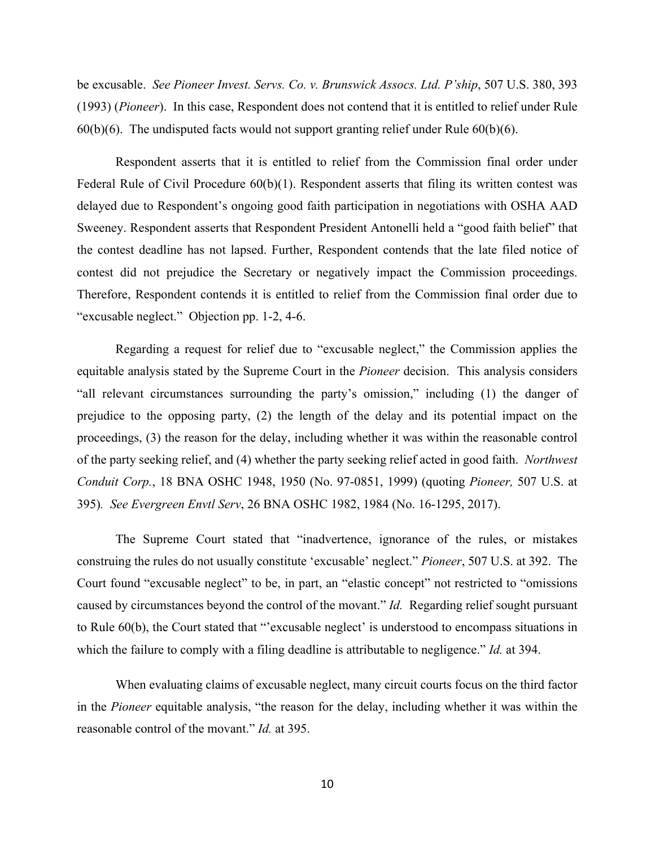be excusable. *See Pioneer Invest. Servs. Co. v. Brunswick Assocs. Ltd. P'ship*, 507 U.S. 380, 393 (1993) (*Pioneer*). In this case, Respondent does not contend that it is entitled to relief under Rule  $60(b)(6)$ . The undisputed facts would not support granting relief under Rule  $60(b)(6)$ .

Respondent asserts that it is entitled to relief from the Commission final order under Federal Rule of Civil Procedure  $60(b)(1)$ . Respondent asserts that filing its written contest was delayed due to Respondent's ongoing good faith participation in negotiations with OSHA AAD Sweeney. Respondent asserts that Respondent President Antonelli held a "good faith belief" that the contest deadline has not lapsed. Further, Respondent contends that the late filed notice of contest did not prejudice the Secretary or negatively impact the Commission proceedings. Therefore, Respondent contends it is entitled to relief from the Commission final order due to "excusable neglect." Objection pp. 1-2, 4-6.

Regarding a request for relief due to "excusable neglect," the Commission applies the equitable analysis stated by the Supreme Court in the *Pioneer* decision. This analysis considers "all relevant circumstances surrounding the party's omission," including (1) the danger of prejudice to the opposing party, (2) the length of the delay and its potential impact on the proceedings, (3) the reason for the delay, including whether it was within the reasonable control of the party seeking relief, and (4) whether the party seeking relief acted in good faith. *Northwest Conduit Corp.*, 18 BNA OSHC 1948, 1950 (No. 97-0851, 1999) (quoting *Pioneer,* 507 U.S. at 395)*. See Evergreen Envtl Serv*, 26 BNA OSHC 1982, 1984 (No. 16-1295, 2017).

The Supreme Court stated that "inadvertence, ignorance of the rules, or mistakes construing the rules do not usually constitute 'excusable' neglect." *Pioneer*, 507 U.S. at 392. The Court found "excusable neglect" to be, in part, an "elastic concept" not restricted to "omissions caused by circumstances beyond the control of the movant." *Id.* Regarding relief sought pursuant to Rule 60(b), the Court stated that "'excusable neglect' is understood to encompass situations in which the failure to comply with a filing deadline is attributable to negligence." *Id.* at 394.

When evaluating claims of excusable neglect, many circuit courts focus on the third factor in the *Pioneer* equitable analysis, "the reason for the delay, including whether it was within the reasonable control of the movant." *Id.* at 395.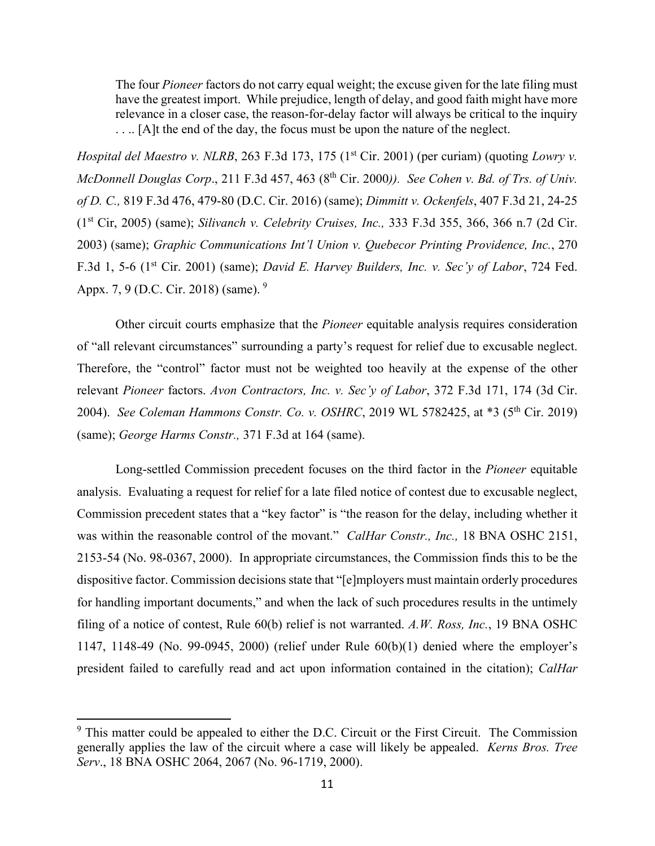The four *Pioneer* factors do not carry equal weight; the excuse given for the late filing must have the greatest import. While prejudice, length of delay, and good faith might have more relevance in a closer case, the reason-for-delay factor will always be critical to the inquiry .... [A]t the end of the day, the focus must be upon the nature of the neglect.

*Hospital del Maestro v. NLRB*, 263 F.3d 173, 175 (1<sup>st</sup> Cir. 2001) (per curiam) (quoting *Lowry v. McDonnell Douglas Corp.*, 211 F.3d 457, 463 (8<sup>th</sup> Cir. 2000)). *See Cohen v. Bd. of Trs. of Univ. of D. C.,* 819 F.3d 476, 479-80 (D.C. Cir. 2016) (same); *Dimmitt v. Ockenfels*, 407 F.3d 21, 24-25 (1st Cir, 2005) (same); *Silivanch v. Celebrity Cruises, Inc.,* 333 F.3d 355, 366, 366 n.7 (2d Cir. 2003) (same); *Graphic Communications Int'l Union v. Quebecor Printing Providence, Inc.*, 270 F.3d 1, 5-6 (1st Cir. 2001) (same); *David E. Harvey Builders, Inc. v. Sec'y of Labor*, 724 Fed. Appx. 7, [9](#page-10-0) (D.C. Cir. 2018) (same). <sup>9</sup>

Other circuit courts emphasize that the *Pioneer* equitable analysis requires consideration of "all relevant circumstances" surrounding a party's request for relief due to excusable neglect. Therefore, the "control" factor must not be weighted too heavily at the expense of the other relevant *Pioneer* factors. *Avon Contractors, Inc. v. Sec'y of Labor*, 372 F.3d 171, 174 (3d Cir. 2004). *See Coleman Hammons Constr. Co. v. OSHRC*, 2019 WL 5782425, at \*3 (5th Cir. 2019) (same); *George Harms Constr.,* 371 F.3d at 164 (same).

 Long-settled Commission precedent focuses on the third factor in the *Pioneer* equitable analysis. Evaluating a request for relief for a late filed notice of contest due to excusable neglect, Commission precedent states that a "key factor" is "the reason for the delay, including whether it was within the reasonable control of the movant." *CalHar Constr., Inc.,* 18 BNA OSHC 2151, 2153-54 (No. 98-0367, 2000). In appropriate circumstances, the Commission finds this to be the dispositive factor. Commission decisions state that "[e]mployers must maintain orderly procedures for handling important documents," and when the lack of such procedures results in the untimely filing of a notice of contest, Rule 60(b) relief is not warranted. *A.W. Ross, Inc.*, 19 BNA OSHC 1147, 1148-49 (No. 99-0945, 2000) (relief under Rule 60(b)(1) denied where the employer's president failed to carefully read and act upon information contained in the citation); *CalHar* 

<span id="page-10-0"></span> $9$  This matter could be appealed to either the D.C. Circuit or the First Circuit. The Commission generally applies the law of the circuit where a case will likely be appealed. *Kerns Bros. Tree Serv*., 18 BNA OSHC 2064, 2067 (No. 96-1719, 2000).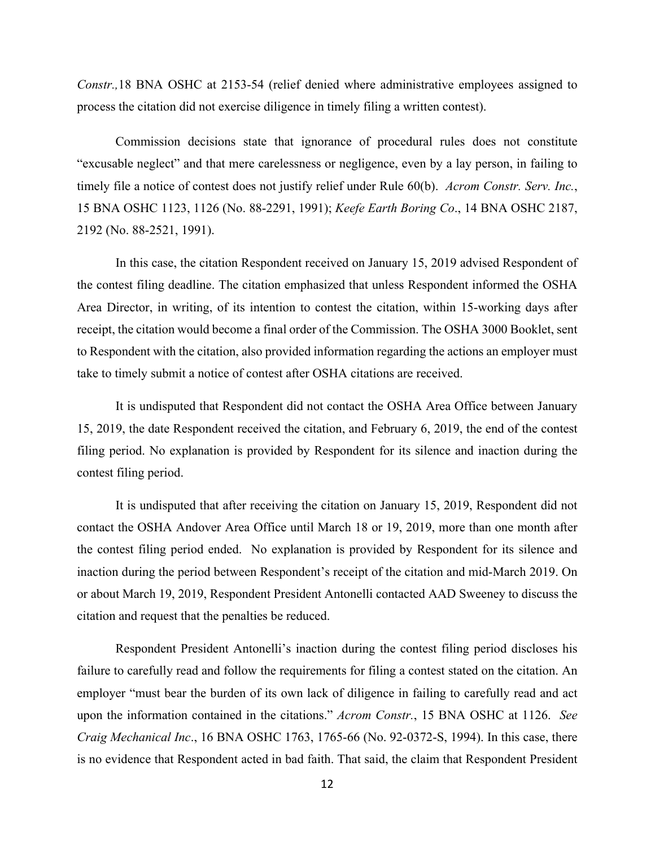*Constr.,*18 BNA OSHC at 2153-54 (relief denied where administrative employees assigned to process the citation did not exercise diligence in timely filing a written contest).

Commission decisions state that ignorance of procedural rules does not constitute "excusable neglect" and that mere carelessness or negligence, even by a lay person, in failing to timely file a notice of contest does not justify relief under Rule 60(b). *Acrom Constr. Serv. Inc.*, 15 BNA OSHC 1123, 1126 (No. 88-2291, 1991); *Keefe Earth Boring Co*., 14 BNA OSHC 2187, 2192 (No. 88-2521, 1991).

In this case, the citation Respondent received on January 15, 2019 advised Respondent of the contest filing deadline. The citation emphasized that unless Respondent informed the OSHA Area Director, in writing, of its intention to contest the citation, within 15-working days after receipt, the citation would become a final order of the Commission. The OSHA 3000 Booklet, sent to Respondent with the citation, also provided information regarding the actions an employer must take to timely submit a notice of contest after OSHA citations are received.

It is undisputed that Respondent did not contact the OSHA Area Office between January 15, 2019, the date Respondent received the citation, and February 6, 2019, the end of the contest filing period. No explanation is provided by Respondent for its silence and inaction during the contest filing period.

It is undisputed that after receiving the citation on January 15, 2019, Respondent did not contact the OSHA Andover Area Office until March 18 or 19, 2019, more than one month after the contest filing period ended. No explanation is provided by Respondent for its silence and inaction during the period between Respondent's receipt of the citation and mid-March 2019. On or about March 19, 2019, Respondent President Antonelli contacted AAD Sweeney to discuss the citation and request that the penalties be reduced.

Respondent President Antonelli's inaction during the contest filing period discloses his failure to carefully read and follow the requirements for filing a contest stated on the citation. An employer "must bear the burden of its own lack of diligence in failing to carefully read and act upon the information contained in the citations." *Acrom Constr.*, 15 BNA OSHC at 1126. *See Craig Mechanical Inc*., 16 BNA OSHC 1763, 1765-66 (No. 92-0372-S, 1994). In this case, there is no evidence that Respondent acted in bad faith. That said, the claim that Respondent President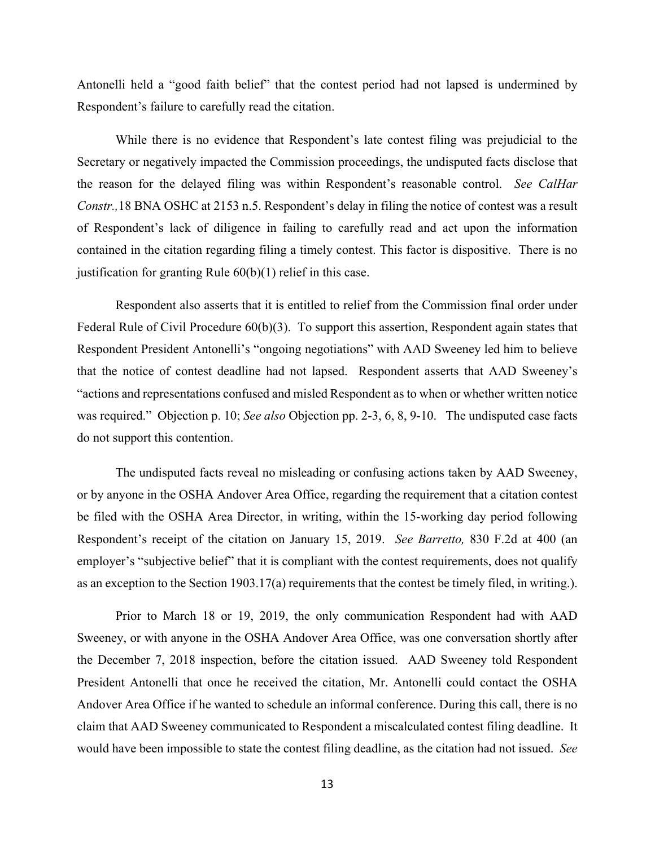Antonelli held a "good faith belief" that the contest period had not lapsed is undermined by Respondent's failure to carefully read the citation.

While there is no evidence that Respondent's late contest filing was prejudicial to the Secretary or negatively impacted the Commission proceedings, the undisputed facts disclose that the reason for the delayed filing was within Respondent's reasonable control. *See CalHar Constr.,*18 BNA OSHC at 2153 n.5. Respondent's delay in filing the notice of contest was a result of Respondent's lack of diligence in failing to carefully read and act upon the information contained in the citation regarding filing a timely contest. This factor is dispositive. There is no justification for granting Rule 60(b)(1) relief in this case.

Respondent also asserts that it is entitled to relief from the Commission final order under Federal Rule of Civil Procedure 60(b)(3). To support this assertion, Respondent again states that Respondent President Antonelli's "ongoing negotiations" with AAD Sweeney led him to believe that the notice of contest deadline had not lapsed. Respondent asserts that AAD Sweeney's "actions and representations confused and misled Respondent as to when or whether written notice was required." Objection p. 10; *See also* Objection pp. 2-3, 6, 8, 9-10. The undisputed case facts do not support this contention.

The undisputed facts reveal no misleading or confusing actions taken by AAD Sweeney, or by anyone in the OSHA Andover Area Office, regarding the requirement that a citation contest be filed with the OSHA Area Director, in writing, within the 15-working day period following Respondent's receipt of the citation on January 15, 2019. *See Barretto,* 830 F.2d at 400 (an employer's "subjective belief" that it is compliant with the contest requirements, does not qualify as an exception to the Section 1903.17(a) requirements that the contest be timely filed, in writing.).

Prior to March 18 or 19, 2019, the only communication Respondent had with AAD Sweeney, or with anyone in the OSHA Andover Area Office, was one conversation shortly after the December 7, 2018 inspection, before the citation issued. AAD Sweeney told Respondent President Antonelli that once he received the citation, Mr. Antonelli could contact the OSHA Andover Area Office if he wanted to schedule an informal conference. During this call, there is no claim that AAD Sweeney communicated to Respondent a miscalculated contest filing deadline. It would have been impossible to state the contest filing deadline, as the citation had not issued. *See*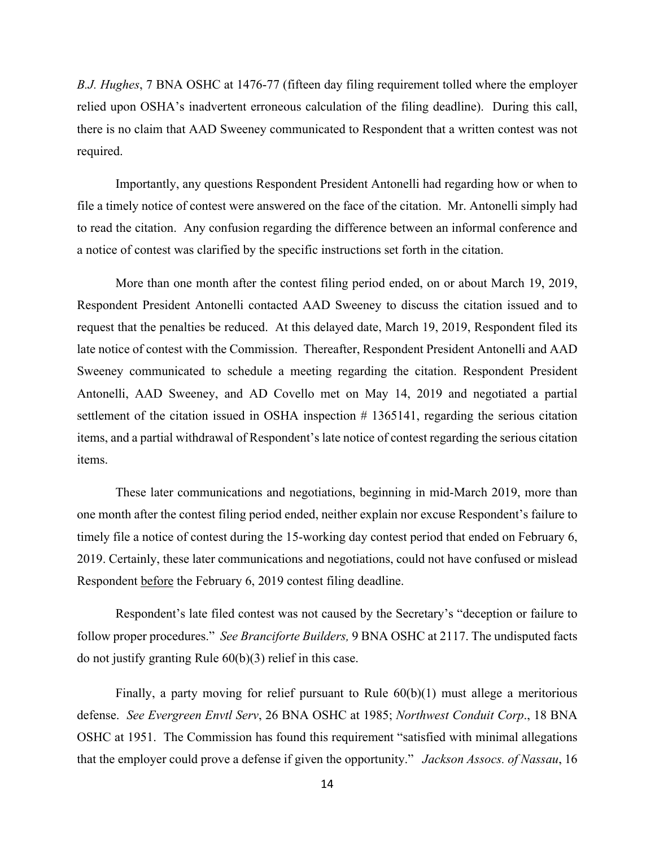*B.J. Hughes*, 7 BNA OSHC at 1476-77 (fifteen day filing requirement tolled where the employer relied upon OSHA's inadvertent erroneous calculation of the filing deadline). During this call, there is no claim that AAD Sweeney communicated to Respondent that a written contest was not required.

Importantly, any questions Respondent President Antonelli had regarding how or when to file a timely notice of contest were answered on the face of the citation. Mr. Antonelli simply had to read the citation. Any confusion regarding the difference between an informal conference and a notice of contest was clarified by the specific instructions set forth in the citation.

More than one month after the contest filing period ended, on or about March 19, 2019, Respondent President Antonelli contacted AAD Sweeney to discuss the citation issued and to request that the penalties be reduced. At this delayed date, March 19, 2019, Respondent filed its late notice of contest with the Commission. Thereafter, Respondent President Antonelli and AAD Sweeney communicated to schedule a meeting regarding the citation. Respondent President Antonelli, AAD Sweeney, and AD Covello met on May 14, 2019 and negotiated a partial settlement of the citation issued in OSHA inspection # 1365141, regarding the serious citation items, and a partial withdrawal of Respondent's late notice of contest regarding the serious citation items.

These later communications and negotiations, beginning in mid-March 2019, more than one month after the contest filing period ended, neither explain nor excuse Respondent's failure to timely file a notice of contest during the 15-working day contest period that ended on February 6, 2019. Certainly, these later communications and negotiations, could not have confused or mislead Respondent before the February 6, 2019 contest filing deadline.

Respondent's late filed contest was not caused by the Secretary's "deception or failure to follow proper procedures." *See Branciforte Builders,* 9 BNA OSHC at 2117. The undisputed facts do not justify granting Rule 60(b)(3) relief in this case.

Finally, a party moving for relief pursuant to Rule 60(b)(1) must allege a meritorious defense. *See Evergreen Envtl Serv*, 26 BNA OSHC at 1985; *Northwest Conduit Corp*., 18 BNA OSHC at 1951. The Commission has found this requirement "satisfied with minimal allegations that the employer could prove a defense if given the opportunity." *Jackson Assocs. of Nassau*, 16